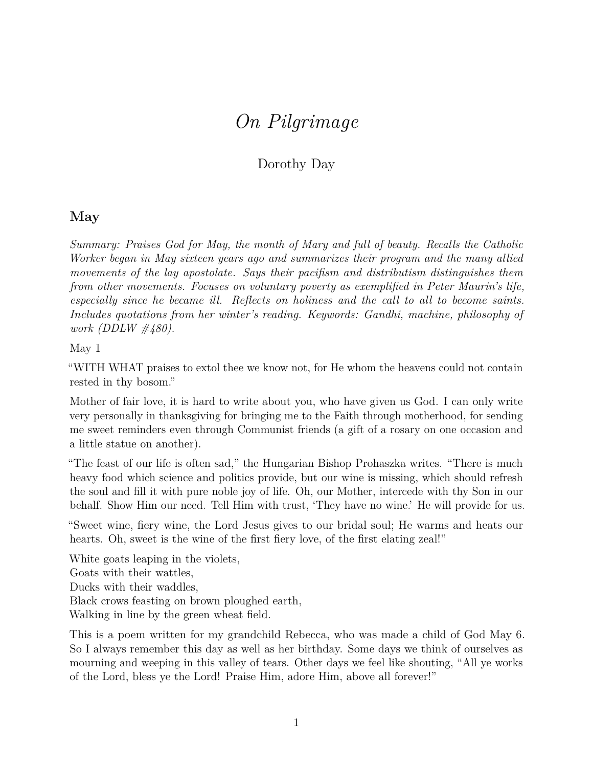## *On Pilgrimage*

## Dorothy Day

## **May**

*Summary: Praises God for May, the month of Mary and full of beauty. Recalls the Catholic Worker began in May sixteen years ago and summarizes their program and the many allied movements of the lay apostolate. Says their pacifism and distributism distinguishes them from other movements. Focuses on voluntary poverty as exemplified in Peter Maurin's life, especially since he became ill. Reflects on holiness and the call to all to become saints. Includes quotations from her winter's reading. Keywords: Gandhi, machine, philosophy of work (DDLW #480).*

## May 1

"WITH WHAT praises to extol thee we know not, for He whom the heavens could not contain rested in thy bosom."

Mother of fair love, it is hard to write about you, who have given us God. I can only write very personally in thanksgiving for bringing me to the Faith through motherhood, for sending me sweet reminders even through Communist friends (a gift of a rosary on one occasion and a little statue on another).

"The feast of our life is often sad," the Hungarian Bishop Prohaszka writes. "There is much heavy food which science and politics provide, but our wine is missing, which should refresh the soul and fill it with pure noble joy of life. Oh, our Mother, intercede with thy Son in our behalf. Show Him our need. Tell Him with trust, 'They have no wine.' He will provide for us.

"Sweet wine, fiery wine, the Lord Jesus gives to our bridal soul; He warms and heats our hearts. Oh, sweet is the wine of the first fiery love, of the first elating zeal!"

White goats leaping in the violets, Goats with their wattles, Ducks with their waddles, Black crows feasting on brown ploughed earth, Walking in line by the green wheat field.

This is a poem written for my grandchild Rebecca, who was made a child of God May 6. So I always remember this day as well as her birthday. Some days we think of ourselves as mourning and weeping in this valley of tears. Other days we feel like shouting, "All ye works of the Lord, bless ye the Lord! Praise Him, adore Him, above all forever!"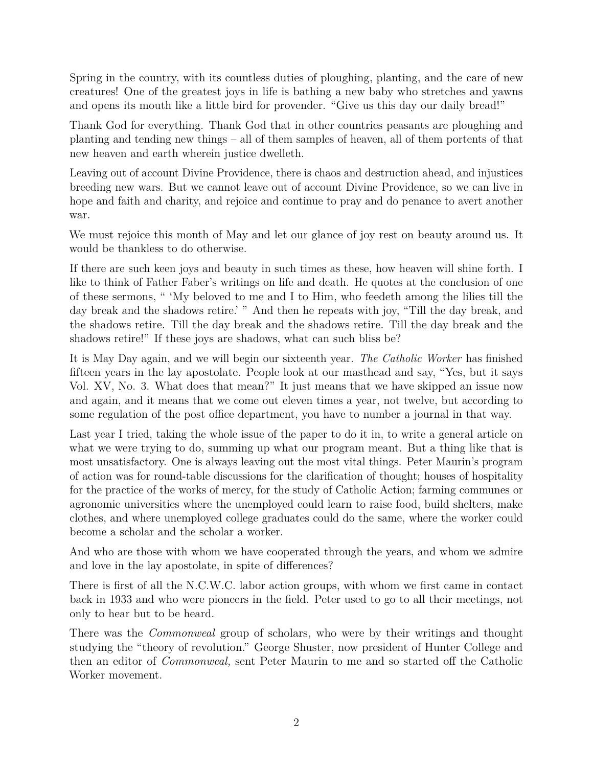Spring in the country, with its countless duties of ploughing, planting, and the care of new creatures! One of the greatest joys in life is bathing a new baby who stretches and yawns and opens its mouth like a little bird for provender. "Give us this day our daily bread!"

Thank God for everything. Thank God that in other countries peasants are ploughing and planting and tending new things – all of them samples of heaven, all of them portents of that new heaven and earth wherein justice dwelleth.

Leaving out of account Divine Providence, there is chaos and destruction ahead, and injustices breeding new wars. But we cannot leave out of account Divine Providence, so we can live in hope and faith and charity, and rejoice and continue to pray and do penance to avert another war.

We must rejoice this month of May and let our glance of joy rest on beauty around us. It would be thankless to do otherwise.

If there are such keen joys and beauty in such times as these, how heaven will shine forth. I like to think of Father Faber's writings on life and death. He quotes at the conclusion of one of these sermons, " 'My beloved to me and I to Him, who feedeth among the lilies till the day break and the shadows retire.' " And then he repeats with joy, "Till the day break, and the shadows retire. Till the day break and the shadows retire. Till the day break and the shadows retire!" If these joys are shadows, what can such bliss be?

It is May Day again, and we will begin our sixteenth year. *The Catholic Worker* has finished fifteen years in the lay apostolate. People look at our masthead and say, "Yes, but it says Vol. XV, No. 3. What does that mean?" It just means that we have skipped an issue now and again, and it means that we come out eleven times a year, not twelve, but according to some regulation of the post office department, you have to number a journal in that way.

Last year I tried, taking the whole issue of the paper to do it in, to write a general article on what we were trying to do, summing up what our program meant. But a thing like that is most unsatisfactory. One is always leaving out the most vital things. Peter Maurin's program of action was for round-table discussions for the clarification of thought; houses of hospitality for the practice of the works of mercy, for the study of Catholic Action; farming communes or agronomic universities where the unemployed could learn to raise food, build shelters, make clothes, and where unemployed college graduates could do the same, where the worker could become a scholar and the scholar a worker.

And who are those with whom we have cooperated through the years, and whom we admire and love in the lay apostolate, in spite of differences?

There is first of all the N.C.W.C. labor action groups, with whom we first came in contact back in 1933 and who were pioneers in the field. Peter used to go to all their meetings, not only to hear but to be heard.

There was the *Commonweal* group of scholars, who were by their writings and thought studying the "theory of revolution." George Shuster, now president of Hunter College and then an editor of *Commonweal,* sent Peter Maurin to me and so started off the Catholic Worker movement.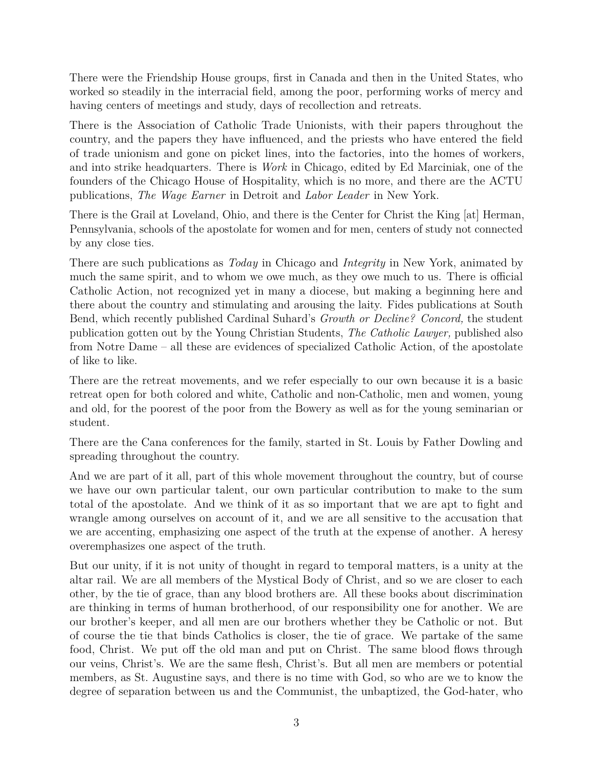There were the Friendship House groups, first in Canada and then in the United States, who worked so steadily in the interracial field, among the poor, performing works of mercy and having centers of meetings and study, days of recollection and retreats.

There is the Association of Catholic Trade Unionists, with their papers throughout the country, and the papers they have influenced, and the priests who have entered the field of trade unionism and gone on picket lines, into the factories, into the homes of workers, and into strike headquarters. There is *Work* in Chicago, edited by Ed Marciniak, one of the founders of the Chicago House of Hospitality, which is no more, and there are the ACTU publications, *The Wage Earner* in Detroit and *Labor Leader* in New York.

There is the Grail at Loveland, Ohio, and there is the Center for Christ the King [at] Herman, Pennsylvania, schools of the apostolate for women and for men, centers of study not connected by any close ties.

There are such publications as *Today* in Chicago and *Integrity* in New York, animated by much the same spirit, and to whom we owe much, as they owe much to us. There is official Catholic Action, not recognized yet in many a diocese, but making a beginning here and there about the country and stimulating and arousing the laity. Fides publications at South Bend, which recently published Cardinal Suhard's *Growth or Decline? Concord,* the student publication gotten out by the Young Christian Students, *The Catholic Lawyer,* published also from Notre Dame – all these are evidences of specialized Catholic Action, of the apostolate of like to like.

There are the retreat movements, and we refer especially to our own because it is a basic retreat open for both colored and white, Catholic and non-Catholic, men and women, young and old, for the poorest of the poor from the Bowery as well as for the young seminarian or student.

There are the Cana conferences for the family, started in St. Louis by Father Dowling and spreading throughout the country.

And we are part of it all, part of this whole movement throughout the country, but of course we have our own particular talent, our own particular contribution to make to the sum total of the apostolate. And we think of it as so important that we are apt to fight and wrangle among ourselves on account of it, and we are all sensitive to the accusation that we are accenting, emphasizing one aspect of the truth at the expense of another. A heresy overemphasizes one aspect of the truth.

But our unity, if it is not unity of thought in regard to temporal matters, is a unity at the altar rail. We are all members of the Mystical Body of Christ, and so we are closer to each other, by the tie of grace, than any blood brothers are. All these books about discrimination are thinking in terms of human brotherhood, of our responsibility one for another. We are our brother's keeper, and all men are our brothers whether they be Catholic or not. But of course the tie that binds Catholics is closer, the tie of grace. We partake of the same food, Christ. We put off the old man and put on Christ. The same blood flows through our veins, Christ's. We are the same flesh, Christ's. But all men are members or potential members, as St. Augustine says, and there is no time with God, so who are we to know the degree of separation between us and the Communist, the unbaptized, the God-hater, who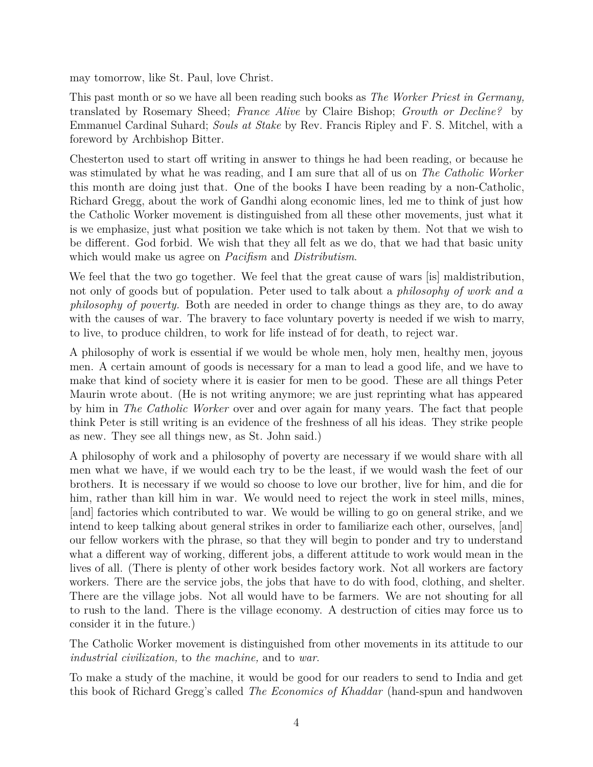may tomorrow, like St. Paul, love Christ.

This past month or so we have all been reading such books as *The Worker Priest in Germany,* translated by Rosemary Sheed; *France Alive* by Claire Bishop; *Growth or Decline?* by Emmanuel Cardinal Suhard; *Souls at Stake* by Rev. Francis Ripley and F. S. Mitchel, with a foreword by Archbishop Bitter.

Chesterton used to start off writing in answer to things he had been reading, or because he was stimulated by what he was reading, and I am sure that all of us on *The Catholic Worker* this month are doing just that. One of the books I have been reading by a non-Catholic, Richard Gregg, about the work of Gandhi along economic lines, led me to think of just how the Catholic Worker movement is distinguished from all these other movements, just what it is we emphasize, just what position we take which is not taken by them. Not that we wish to be different. God forbid. We wish that they all felt as we do, that we had that basic unity which would make us agree on *Pacifism* and *Distributism*.

We feel that the two go together. We feel that the great cause of wars [is] maldistribution, not only of goods but of population. Peter used to talk about a *philosophy of work and a philosophy of poverty.* Both are needed in order to change things as they are, to do away with the causes of war. The bravery to face voluntary poverty is needed if we wish to marry, to live, to produce children, to work for life instead of for death, to reject war.

A philosophy of work is essential if we would be whole men, holy men, healthy men, joyous men. A certain amount of goods is necessary for a man to lead a good life, and we have to make that kind of society where it is easier for men to be good. These are all things Peter Maurin wrote about. (He is not writing anymore; we are just reprinting what has appeared by him in *The Catholic Worker* over and over again for many years. The fact that people think Peter is still writing is an evidence of the freshness of all his ideas. They strike people as new. They see all things new, as St. John said.)

A philosophy of work and a philosophy of poverty are necessary if we would share with all men what we have, if we would each try to be the least, if we would wash the feet of our brothers. It is necessary if we would so choose to love our brother, live for him, and die for him, rather than kill him in war. We would need to reject the work in steel mills, mines, [and] factories which contributed to war. We would be willing to go on general strike, and we intend to keep talking about general strikes in order to familiarize each other, ourselves, [and] our fellow workers with the phrase, so that they will begin to ponder and try to understand what a different way of working, different jobs, a different attitude to work would mean in the lives of all. (There is plenty of other work besides factory work. Not all workers are factory workers. There are the service jobs, the jobs that have to do with food, clothing, and shelter. There are the village jobs. Not all would have to be farmers. We are not shouting for all to rush to the land. There is the village economy. A destruction of cities may force us to consider it in the future.)

The Catholic Worker movement is distinguished from other movements in its attitude to our *industrial civilization,* to *the machine,* and to *war*.

To make a study of the machine, it would be good for our readers to send to India and get this book of Richard Gregg's called *The Economics of Khaddar* (hand-spun and handwoven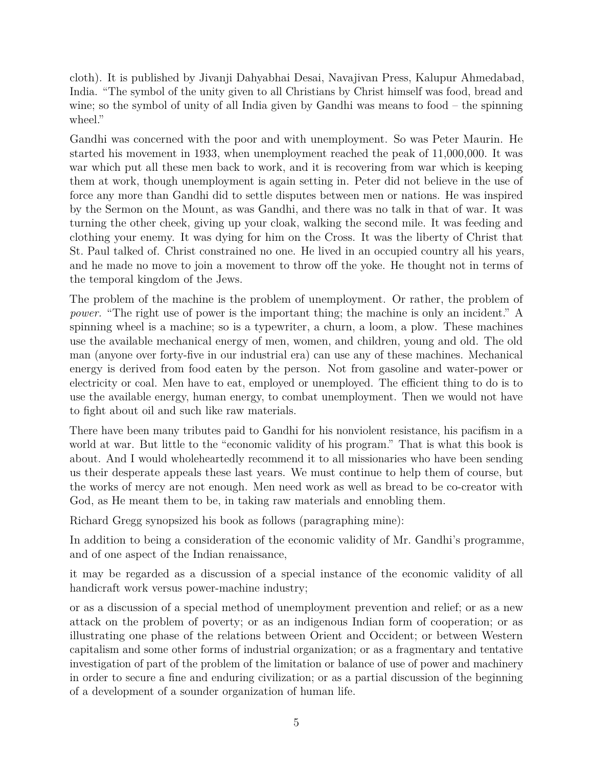cloth). It is published by Jivanji Dahyabhai Desai, Navajivan Press, Kalupur Ahmedabad, India. "The symbol of the unity given to all Christians by Christ himself was food, bread and wine; so the symbol of unity of all India given by Gandhi was means to food – the spinning wheel."

Gandhi was concerned with the poor and with unemployment. So was Peter Maurin. He started his movement in 1933, when unemployment reached the peak of 11,000,000. It was war which put all these men back to work, and it is recovering from war which is keeping them at work, though unemployment is again setting in. Peter did not believe in the use of force any more than Gandhi did to settle disputes between men or nations. He was inspired by the Sermon on the Mount, as was Gandhi, and there was no talk in that of war. It was turning the other cheek, giving up your cloak, walking the second mile. It was feeding and clothing your enemy. It was dying for him on the Cross. It was the liberty of Christ that St. Paul talked of. Christ constrained no one. He lived in an occupied country all his years, and he made no move to join a movement to throw off the yoke. He thought not in terms of the temporal kingdom of the Jews.

The problem of the machine is the problem of unemployment. Or rather, the problem of *power.* "The right use of power is the important thing; the machine is only an incident." A spinning wheel is a machine; so is a typewriter, a churn, a loom, a plow. These machines use the available mechanical energy of men, women, and children, young and old. The old man (anyone over forty-five in our industrial era) can use any of these machines. Mechanical energy is derived from food eaten by the person. Not from gasoline and water-power or electricity or coal. Men have to eat, employed or unemployed. The efficient thing to do is to use the available energy, human energy, to combat unemployment. Then we would not have to fight about oil and such like raw materials.

There have been many tributes paid to Gandhi for his nonviolent resistance, his pacifism in a world at war. But little to the "economic validity of his program." That is what this book is about. And I would wholeheartedly recommend it to all missionaries who have been sending us their desperate appeals these last years. We must continue to help them of course, but the works of mercy are not enough. Men need work as well as bread to be co-creator with God, as He meant them to be, in taking raw materials and ennobling them.

Richard Gregg synopsized his book as follows (paragraphing mine):

In addition to being a consideration of the economic validity of Mr. Gandhi's programme, and of one aspect of the Indian renaissance,

it may be regarded as a discussion of a special instance of the economic validity of all handicraft work versus power-machine industry;

or as a discussion of a special method of unemployment prevention and relief; or as a new attack on the problem of poverty; or as an indigenous Indian form of cooperation; or as illustrating one phase of the relations between Orient and Occident; or between Western capitalism and some other forms of industrial organization; or as a fragmentary and tentative investigation of part of the problem of the limitation or balance of use of power and machinery in order to secure a fine and enduring civilization; or as a partial discussion of the beginning of a development of a sounder organization of human life.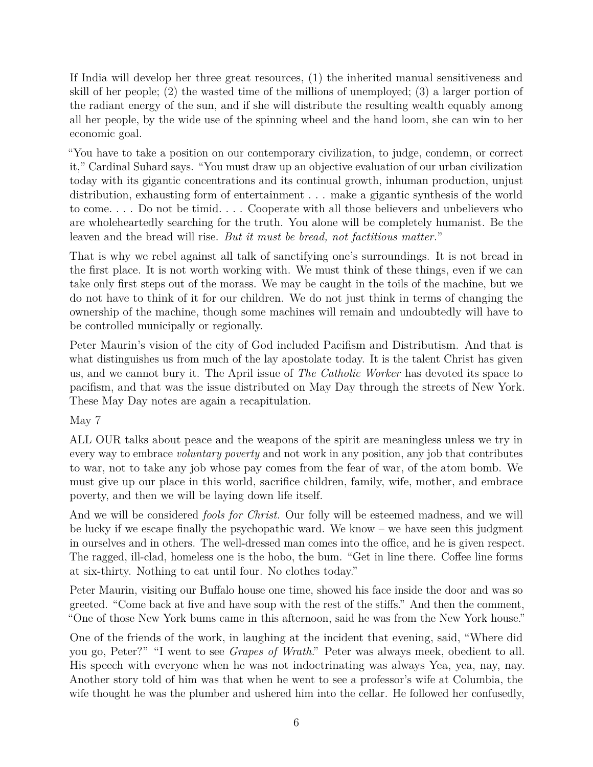If India will develop her three great resources, (1) the inherited manual sensitiveness and skill of her people; (2) the wasted time of the millions of unemployed; (3) a larger portion of the radiant energy of the sun, and if she will distribute the resulting wealth equably among all her people, by the wide use of the spinning wheel and the hand loom, she can win to her economic goal.

"You have to take a position on our contemporary civilization, to judge, condemn, or correct it," Cardinal Suhard says. "You must draw up an objective evaluation of our urban civilization today with its gigantic concentrations and its continual growth, inhuman production, unjust distribution, exhausting form of entertainment . . . make a gigantic synthesis of the world to come. . . . Do not be timid. . . . Cooperate with all those believers and unbelievers who are wholeheartedly searching for the truth. You alone will be completely humanist. Be the leaven and the bread will rise. *But it must be bread, not factitious matter.*"

That is why we rebel against all talk of sanctifying one's surroundings. It is not bread in the first place. It is not worth working with. We must think of these things, even if we can take only first steps out of the morass. We may be caught in the toils of the machine, but we do not have to think of it for our children. We do not just think in terms of changing the ownership of the machine, though some machines will remain and undoubtedly will have to be controlled municipally or regionally.

Peter Maurin's vision of the city of God included Pacifism and Distributism. And that is what distinguishes us from much of the lay apostolate today. It is the talent Christ has given us, and we cannot bury it. The April issue of *The Catholic Worker* has devoted its space to pacifism, and that was the issue distributed on May Day through the streets of New York. These May Day notes are again a recapitulation.

May 7

ALL OUR talks about peace and the weapons of the spirit are meaningless unless we try in every way to embrace *voluntary poverty* and not work in any position, any job that contributes to war, not to take any job whose pay comes from the fear of war, of the atom bomb. We must give up our place in this world, sacrifice children, family, wife, mother, and embrace poverty, and then we will be laying down life itself.

And we will be considered *fools for Christ.* Our folly will be esteemed madness, and we will be lucky if we escape finally the psychopathic ward. We know – we have seen this judgment in ourselves and in others. The well-dressed man comes into the office, and he is given respect. The ragged, ill-clad, homeless one is the hobo, the bum. "Get in line there. Coffee line forms at six-thirty. Nothing to eat until four. No clothes today."

Peter Maurin, visiting our Buffalo house one time, showed his face inside the door and was so greeted. "Come back at five and have soup with the rest of the stiffs." And then the comment, "One of those New York bums came in this afternoon, said he was from the New York house."

One of the friends of the work, in laughing at the incident that evening, said, "Where did you go, Peter?" "I went to see *Grapes of Wrath*." Peter was always meek, obedient to all. His speech with everyone when he was not indoctrinating was always Yea, yea, nay, nay. Another story told of him was that when he went to see a professor's wife at Columbia, the wife thought he was the plumber and ushered him into the cellar. He followed her confusedly,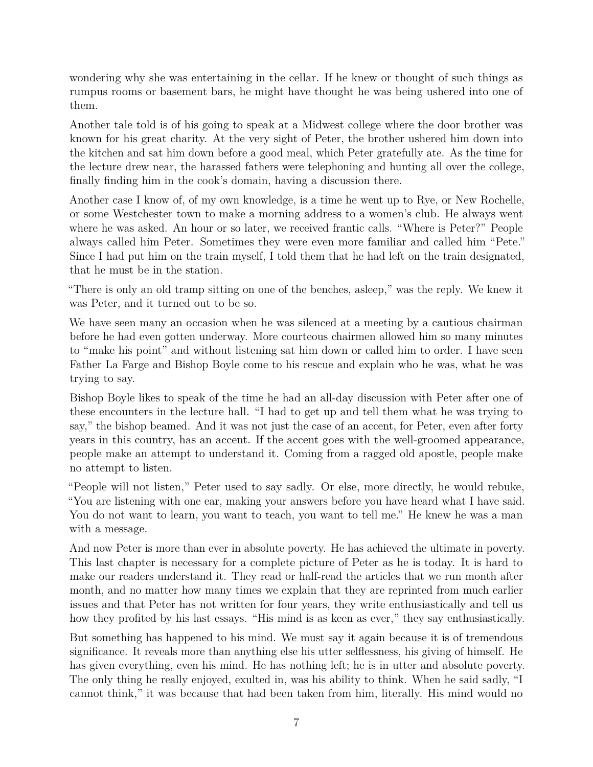wondering why she was entertaining in the cellar. If he knew or thought of such things as rumpus rooms or basement bars, he might have thought he was being ushered into one of them.

Another tale told is of his going to speak at a Midwest college where the door brother was known for his great charity. At the very sight of Peter, the brother ushered him down into the kitchen and sat him down before a good meal, which Peter gratefully ate. As the time for the lecture drew near, the harassed fathers were telephoning and hunting all over the college, finally finding him in the cook's domain, having a discussion there.

Another case I know of, of my own knowledge, is a time he went up to Rye, or New Rochelle, or some Westchester town to make a morning address to a women's club. He always went where he was asked. An hour or so later, we received frantic calls. "Where is Peter?" People always called him Peter. Sometimes they were even more familiar and called him "Pete." Since I had put him on the train myself, I told them that he had left on the train designated, that he must be in the station.

"There is only an old tramp sitting on one of the benches, asleep," was the reply. We knew it was Peter, and it turned out to be so.

We have seen many an occasion when he was silenced at a meeting by a cautious chairman before he had even gotten underway. More courteous chairmen allowed him so many minutes to "make his point" and without listening sat him down or called him to order. I have seen Father La Farge and Bishop Boyle come to his rescue and explain who he was, what he was trying to say.

Bishop Boyle likes to speak of the time he had an all-day discussion with Peter after one of these encounters in the lecture hall. "I had to get up and tell them what he was trying to say," the bishop beamed. And it was not just the case of an accent, for Peter, even after forty years in this country, has an accent. If the accent goes with the well-groomed appearance, people make an attempt to understand it. Coming from a ragged old apostle, people make no attempt to listen.

"People will not listen," Peter used to say sadly. Or else, more directly, he would rebuke, "You are listening with one ear, making your answers before you have heard what I have said. You do not want to learn, you want to teach, you want to tell me." He knew he was a man with a message.

And now Peter is more than ever in absolute poverty. He has achieved the ultimate in poverty. This last chapter is necessary for a complete picture of Peter as he is today. It is hard to make our readers understand it. They read or half-read the articles that we run month after month, and no matter how many times we explain that they are reprinted from much earlier issues and that Peter has not written for four years, they write enthusiastically and tell us how they profited by his last essays. "His mind is as keen as ever," they say enthusiastically.

But something has happened to his mind. We must say it again because it is of tremendous significance. It reveals more than anything else his utter selflessness, his giving of himself. He has given everything, even his mind. He has nothing left; he is in utter and absolute poverty. The only thing he really enjoyed, exulted in, was his ability to think. When he said sadly, "I cannot think," it was because that had been taken from him, literally. His mind would no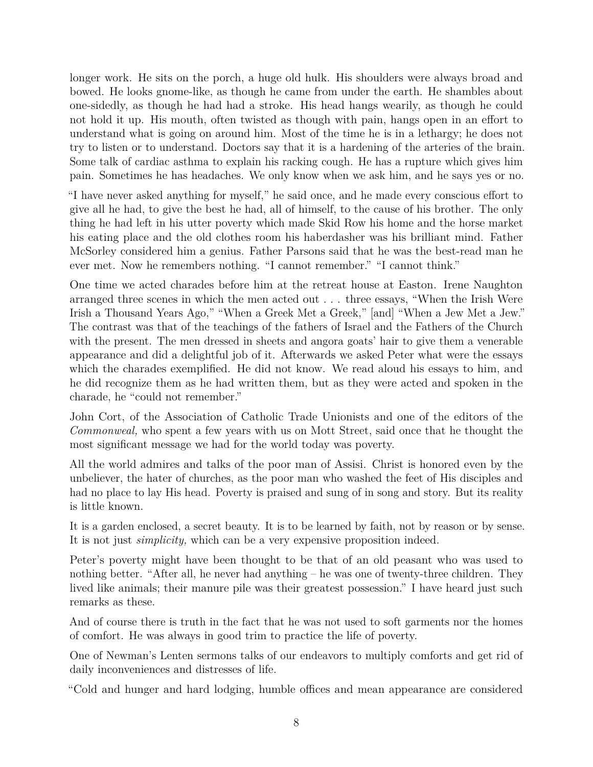longer work. He sits on the porch, a huge old hulk. His shoulders were always broad and bowed. He looks gnome-like, as though he came from under the earth. He shambles about one-sidedly, as though he had had a stroke. His head hangs wearily, as though he could not hold it up. His mouth, often twisted as though with pain, hangs open in an effort to understand what is going on around him. Most of the time he is in a lethargy; he does not try to listen or to understand. Doctors say that it is a hardening of the arteries of the brain. Some talk of cardiac asthma to explain his racking cough. He has a rupture which gives him pain. Sometimes he has headaches. We only know when we ask him, and he says yes or no.

"I have never asked anything for myself," he said once, and he made every conscious effort to give all he had, to give the best he had, all of himself, to the cause of his brother. The only thing he had left in his utter poverty which made Skid Row his home and the horse market his eating place and the old clothes room his haberdasher was his brilliant mind. Father McSorley considered him a genius. Father Parsons said that he was the best-read man he ever met. Now he remembers nothing. "I cannot remember." "I cannot think."

One time we acted charades before him at the retreat house at Easton. Irene Naughton arranged three scenes in which the men acted out . . . three essays, "When the Irish Were Irish a Thousand Years Ago," "When a Greek Met a Greek," [and] "When a Jew Met a Jew." The contrast was that of the teachings of the fathers of Israel and the Fathers of the Church with the present. The men dressed in sheets and angora goats' hair to give them a venerable appearance and did a delightful job of it. Afterwards we asked Peter what were the essays which the charades exemplified. He did not know. We read aloud his essays to him, and he did recognize them as he had written them, but as they were acted and spoken in the charade, he "could not remember."

John Cort, of the Association of Catholic Trade Unionists and one of the editors of the *Commonweal,* who spent a few years with us on Mott Street, said once that he thought the most significant message we had for the world today was poverty.

All the world admires and talks of the poor man of Assisi. Christ is honored even by the unbeliever, the hater of churches, as the poor man who washed the feet of His disciples and had no place to lay His head. Poverty is praised and sung of in song and story. But its reality is little known.

It is a garden enclosed, a secret beauty. It is to be learned by faith, not by reason or by sense. It is not just *simplicity,* which can be a very expensive proposition indeed.

Peter's poverty might have been thought to be that of an old peasant who was used to nothing better. "After all, he never had anything – he was one of twenty-three children. They lived like animals; their manure pile was their greatest possession." I have heard just such remarks as these.

And of course there is truth in the fact that he was not used to soft garments nor the homes of comfort. He was always in good trim to practice the life of poverty.

One of Newman's Lenten sermons talks of our endeavors to multiply comforts and get rid of daily inconveniences and distresses of life.

"Cold and hunger and hard lodging, humble offices and mean appearance are considered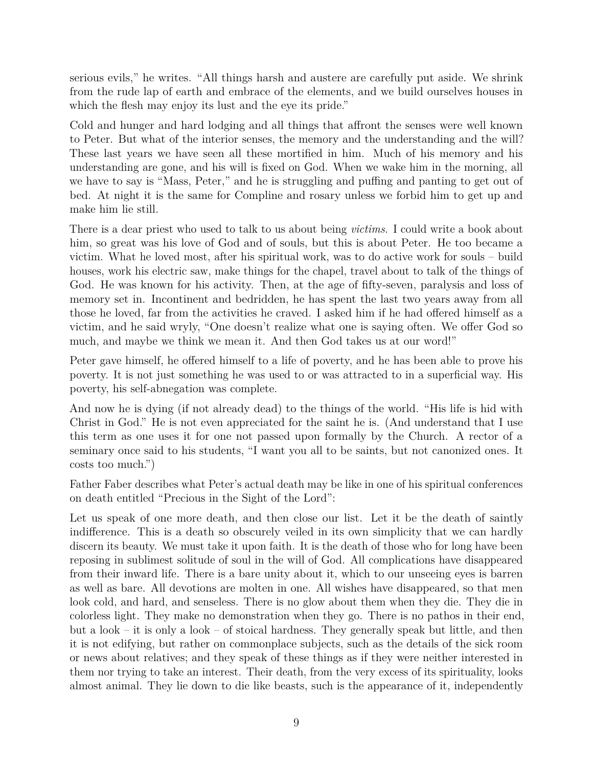serious evils," he writes. "All things harsh and austere are carefully put aside. We shrink from the rude lap of earth and embrace of the elements, and we build ourselves houses in which the flesh may enjoy its lust and the eye its pride."

Cold and hunger and hard lodging and all things that affront the senses were well known to Peter. But what of the interior senses, the memory and the understanding and the will? These last years we have seen all these mortified in him. Much of his memory and his understanding are gone, and his will is fixed on God. When we wake him in the morning, all we have to say is "Mass, Peter," and he is struggling and puffing and panting to get out of bed. At night it is the same for Compline and rosary unless we forbid him to get up and make him lie still.

There is a dear priest who used to talk to us about being *victims.* I could write a book about him, so great was his love of God and of souls, but this is about Peter. He too became a victim. What he loved most, after his spiritual work, was to do active work for souls – build houses, work his electric saw, make things for the chapel, travel about to talk of the things of God. He was known for his activity. Then, at the age of fifty-seven, paralysis and loss of memory set in. Incontinent and bedridden, he has spent the last two years away from all those he loved, far from the activities he craved. I asked him if he had offered himself as a victim, and he said wryly, "One doesn't realize what one is saying often. We offer God so much, and maybe we think we mean it. And then God takes us at our word!"

Peter gave himself, he offered himself to a life of poverty, and he has been able to prove his poverty. It is not just something he was used to or was attracted to in a superficial way. His poverty, his self-abnegation was complete.

And now he is dying (if not already dead) to the things of the world. "His life is hid with Christ in God." He is not even appreciated for the saint he is. (And understand that I use this term as one uses it for one not passed upon formally by the Church. A rector of a seminary once said to his students, "I want you all to be saints, but not canonized ones. It costs too much.")

Father Faber describes what Peter's actual death may be like in one of his spiritual conferences on death entitled "Precious in the Sight of the Lord":

Let us speak of one more death, and then close our list. Let it be the death of saintly indifference. This is a death so obscurely veiled in its own simplicity that we can hardly discern its beauty. We must take it upon faith. It is the death of those who for long have been reposing in sublimest solitude of soul in the will of God. All complications have disappeared from their inward life. There is a bare unity about it, which to our unseeing eyes is barren as well as bare. All devotions are molten in one. All wishes have disappeared, so that men look cold, and hard, and senseless. There is no glow about them when they die. They die in colorless light. They make no demonstration when they go. There is no pathos in their end, but a look – it is only a look – of stoical hardness. They generally speak but little, and then it is not edifying, but rather on commonplace subjects, such as the details of the sick room or news about relatives; and they speak of these things as if they were neither interested in them nor trying to take an interest. Their death, from the very excess of its spirituality, looks almost animal. They lie down to die like beasts, such is the appearance of it, independently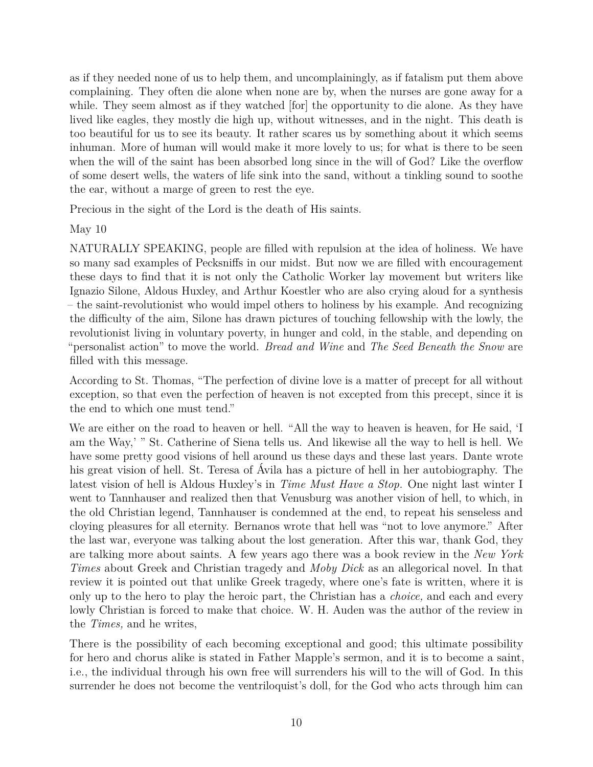as if they needed none of us to help them, and uncomplainingly, as if fatalism put them above complaining. They often die alone when none are by, when the nurses are gone away for a while. They seem almost as if they watched [for] the opportunity to die alone. As they have lived like eagles, they mostly die high up, without witnesses, and in the night. This death is too beautiful for us to see its beauty. It rather scares us by something about it which seems inhuman. More of human will would make it more lovely to us; for what is there to be seen when the will of the saint has been absorbed long since in the will of God? Like the overflow of some desert wells, the waters of life sink into the sand, without a tinkling sound to soothe the ear, without a marge of green to rest the eye.

Precious in the sight of the Lord is the death of His saints.

May 10

NATURALLY SPEAKING, people are filled with repulsion at the idea of holiness. We have so many sad examples of Pecksniffs in our midst. But now we are filled with encouragement these days to find that it is not only the Catholic Worker lay movement but writers like Ignazio Silone, Aldous Huxley, and Arthur Koestler who are also crying aloud for a synthesis – the saint-revolutionist who would impel others to holiness by his example. And recognizing the difficulty of the aim, Silone has drawn pictures of touching fellowship with the lowly, the revolutionist living in voluntary poverty, in hunger and cold, in the stable, and depending on "personalist action" to move the world. *Bread and Wine* and *The Seed Beneath the Snow* are filled with this message.

According to St. Thomas, "The perfection of divine love is a matter of precept for all without exception, so that even the perfection of heaven is not excepted from this precept, since it is the end to which one must tend."

We are either on the road to heaven or hell. "All the way to heaven is heaven, for He said, 'I am the Way,' " St. Catherine of Siena tells us. And likewise all the way to hell is hell. We have some pretty good visions of hell around us these days and these last years. Dante wrote his great vision of hell. St. Teresa of Ávila has a picture of hell in her autobiography. The latest vision of hell is Aldous Huxley's in *Time Must Have a Stop.* One night last winter I went to Tannhauser and realized then that Venusburg was another vision of hell, to which, in the old Christian legend, Tannhauser is condemned at the end, to repeat his senseless and cloying pleasures for all eternity. Bernanos wrote that hell was "not to love anymore." After the last war, everyone was talking about the lost generation. After this war, thank God, they are talking more about saints. A few years ago there was a book review in the *New York Times* about Greek and Christian tragedy and *Moby Dick* as an allegorical novel. In that review it is pointed out that unlike Greek tragedy, where one's fate is written, where it is only up to the hero to play the heroic part, the Christian has a *choice,* and each and every lowly Christian is forced to make that choice. W. H. Auden was the author of the review in the *Times,* and he writes,

There is the possibility of each becoming exceptional and good; this ultimate possibility for hero and chorus alike is stated in Father Mapple's sermon, and it is to become a saint, i.e., the individual through his own free will surrenders his will to the will of God. In this surrender he does not become the ventriloquist's doll, for the God who acts through him can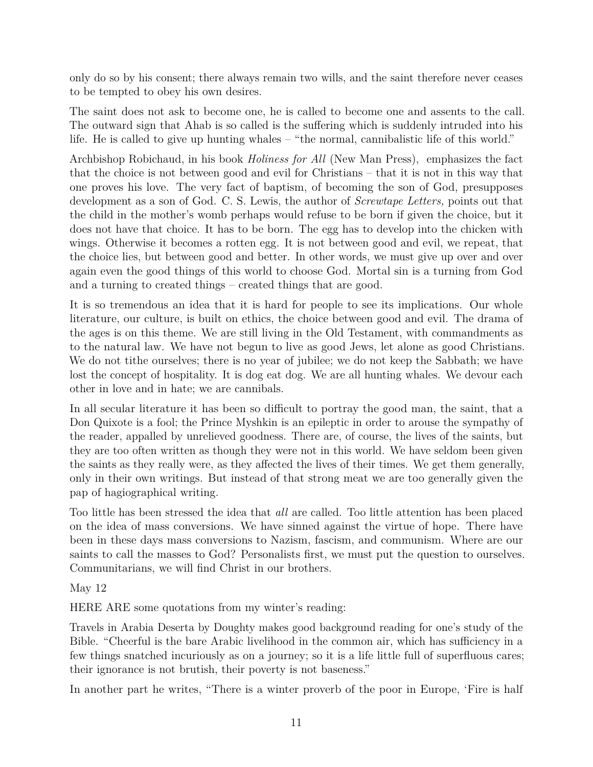only do so by his consent; there always remain two wills, and the saint therefore never ceases to be tempted to obey his own desires.

The saint does not ask to become one, he is called to become one and assents to the call. The outward sign that Ahab is so called is the suffering which is suddenly intruded into his life. He is called to give up hunting whales – "the normal, cannibalistic life of this world."

Archbishop Robichaud, in his book *Holiness for All* (New Man Press), emphasizes the fact that the choice is not between good and evil for Christians – that it is not in this way that one proves his love. The very fact of baptism, of becoming the son of God, presupposes development as a son of God. C. S. Lewis, the author of *Screwtape Letters,* points out that the child in the mother's womb perhaps would refuse to be born if given the choice, but it does not have that choice. It has to be born. The egg has to develop into the chicken with wings. Otherwise it becomes a rotten egg. It is not between good and evil, we repeat, that the choice lies, but between good and better. In other words, we must give up over and over again even the good things of this world to choose God. Mortal sin is a turning from God and a turning to created things – created things that are good.

It is so tremendous an idea that it is hard for people to see its implications. Our whole literature, our culture, is built on ethics, the choice between good and evil. The drama of the ages is on this theme. We are still living in the Old Testament, with commandments as to the natural law. We have not begun to live as good Jews, let alone as good Christians. We do not tithe ourselves; there is no year of jubilee; we do not keep the Sabbath; we have lost the concept of hospitality. It is dog eat dog. We are all hunting whales. We devour each other in love and in hate; we are cannibals.

In all secular literature it has been so difficult to portray the good man, the saint, that a Don Quixote is a fool; the Prince Myshkin is an epileptic in order to arouse the sympathy of the reader, appalled by unrelieved goodness. There are, of course, the lives of the saints, but they are too often written as though they were not in this world. We have seldom been given the saints as they really were, as they affected the lives of their times. We get them generally, only in their own writings. But instead of that strong meat we are too generally given the pap of hagiographical writing.

Too little has been stressed the idea that *all* are called. Too little attention has been placed on the idea of mass conversions. We have sinned against the virtue of hope. There have been in these days mass conversions to Nazism, fascism, and communism. Where are our saints to call the masses to God? Personalists first, we must put the question to ourselves. Communitarians, we will find Christ in our brothers.

May 12

HERE ARE some quotations from my winter's reading:

Travels in Arabia Deserta by Doughty makes good background reading for one's study of the Bible. "Cheerful is the bare Arabic livelihood in the common air, which has sufficiency in a few things snatched incuriously as on a journey; so it is a life little full of superfluous cares; their ignorance is not brutish, their poverty is not baseness."

In another part he writes, "There is a winter proverb of the poor in Europe, 'Fire is half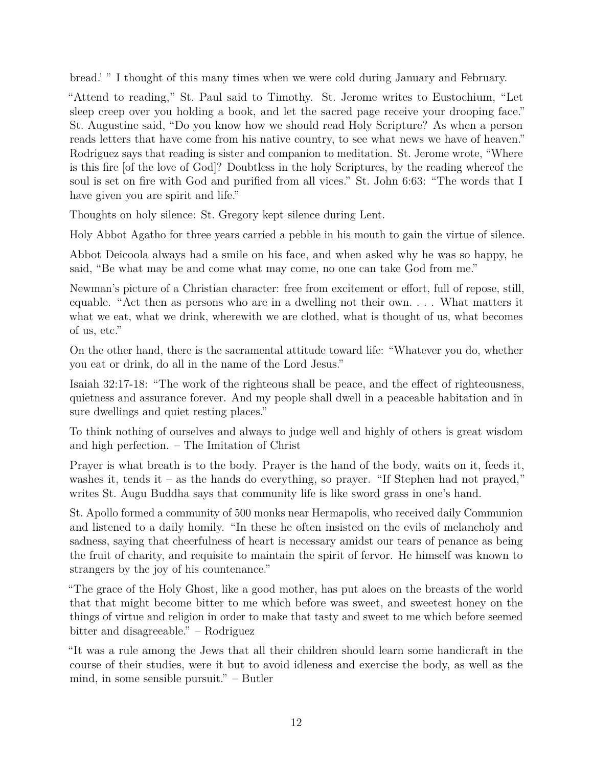bread.' " I thought of this many times when we were cold during January and February.

"Attend to reading," St. Paul said to Timothy. St. Jerome writes to Eustochium, "Let sleep creep over you holding a book, and let the sacred page receive your drooping face." St. Augustine said, "Do you know how we should read Holy Scripture? As when a person reads letters that have come from his native country, to see what news we have of heaven." Rodriguez says that reading is sister and companion to meditation. St. Jerome wrote, "Where is this fire [of the love of God]? Doubtless in the holy Scriptures, by the reading whereof the soul is set on fire with God and purified from all vices." St. John 6:63: "The words that I have given you are spirit and life."

Thoughts on holy silence: St. Gregory kept silence during Lent.

Holy Abbot Agatho for three years carried a pebble in his mouth to gain the virtue of silence.

Abbot Deicoola always had a smile on his face, and when asked why he was so happy, he said, "Be what may be and come what may come, no one can take God from me."

Newman's picture of a Christian character: free from excitement or effort, full of repose, still, equable. "Act then as persons who are in a dwelling not their own. . . . What matters it what we eat, what we drink, wherewith we are clothed, what is thought of us, what becomes of us, etc."

On the other hand, there is the sacramental attitude toward life: "Whatever you do, whether you eat or drink, do all in the name of the Lord Jesus."

Isaiah 32:17-18: "The work of the righteous shall be peace, and the effect of righteousness, quietness and assurance forever. And my people shall dwell in a peaceable habitation and in sure dwellings and quiet resting places."

To think nothing of ourselves and always to judge well and highly of others is great wisdom and high perfection. – The Imitation of Christ

Prayer is what breath is to the body. Prayer is the hand of the body, waits on it, feeds it, washes it, tends it – as the hands do everything, so prayer. "If Stephen had not prayed," writes St. Augu Buddha says that community life is like sword grass in one's hand.

St. Apollo formed a community of 500 monks near Hermapolis, who received daily Communion and listened to a daily homily. "In these he often insisted on the evils of melancholy and sadness, saying that cheerfulness of heart is necessary amidst our tears of penance as being the fruit of charity, and requisite to maintain the spirit of fervor. He himself was known to strangers by the joy of his countenance."

"The grace of the Holy Ghost, like a good mother, has put aloes on the breasts of the world that that might become bitter to me which before was sweet, and sweetest honey on the things of virtue and religion in order to make that tasty and sweet to me which before seemed bitter and disagreeable." – Rodriguez

"It was a rule among the Jews that all their children should learn some handicraft in the course of their studies, were it but to avoid idleness and exercise the body, as well as the mind, in some sensible pursuit." – Butler